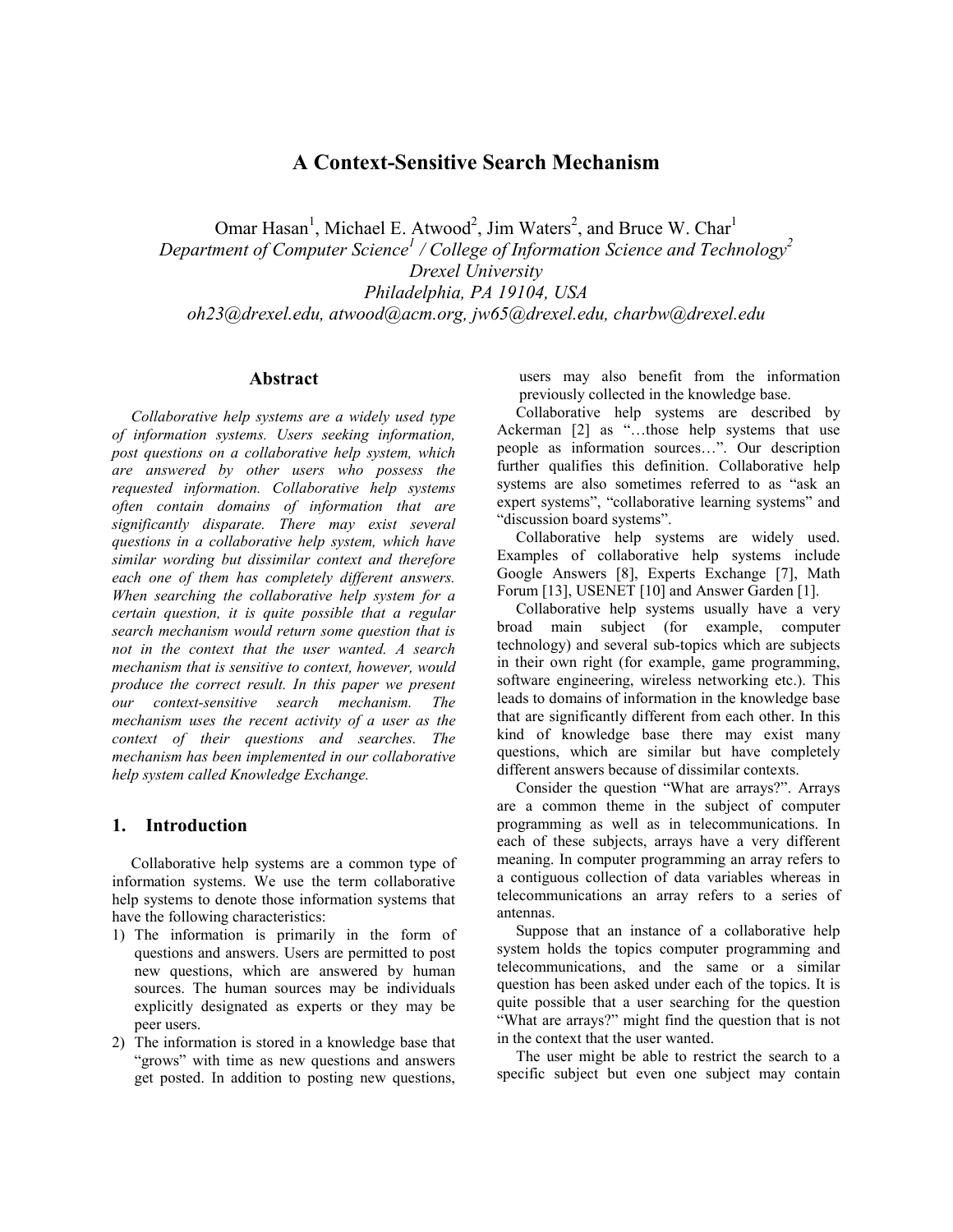# **A Context-Sensitive Search Mechanism**

Omar Hasan<sup>1</sup>, Michael E. Atwood<sup>2</sup>, Jim Waters<sup>2</sup>, and Bruce W. Char<sup>1</sup> *Department of Computer Science1 / College of Information Science and Technology2 Drexel University Philadelphia, PA 19104, USA oh23@drexel.edu, atwood@acm.org, jw65@drexel.edu, charbw@drexel.edu* 

## **Abstract**

*Collaborative help systems are a widely used type of information systems. Users seeking information, post questions on a collaborative help system, which are answered by other users who possess the requested information. Collaborative help systems often contain domains of information that are significantly disparate. There may exist several questions in a collaborative help system, which have similar wording but dissimilar context and therefore each one of them has completely different answers. When searching the collaborative help system for a certain question, it is quite possible that a regular search mechanism would return some question that is not in the context that the user wanted. A search mechanism that is sensitive to context, however, would produce the correct result. In this paper we present our context-sensitive search mechanism. The mechanism uses the recent activity of a user as the context of their questions and searches. The mechanism has been implemented in our collaborative help system called Knowledge Exchange.* 

### **1. Introduction**

Collaborative help systems are a common type of information systems. We use the term collaborative help systems to denote those information systems that have the following characteristics:

- 1) The information is primarily in the form of questions and answers. Users are permitted to post new questions, which are answered by human sources. The human sources may be individuals explicitly designated as experts or they may be peer users.
- 2) The information is stored in a knowledge base that "grows" with time as new questions and answers get posted. In addition to posting new questions,

users may also benefit from the information previously collected in the knowledge base.

Collaborative help systems are described by Ackerman [2] as "...those help systems that use people as information sources…". Our description further qualifies this definition. Collaborative help systems are also sometimes referred to as "ask an expert systems", "collaborative learning systems" and "discussion board systems".

Collaborative help systems are widely used. Examples of collaborative help systems include Google Answers [8], Experts Exchange [7], Math Forum [13], USENET [10] and Answer Garden [1].

Collaborative help systems usually have a very broad main subject (for example, computer technology) and several sub-topics which are subjects in their own right (for example, game programming, software engineering, wireless networking etc.). This leads to domains of information in the knowledge base that are significantly different from each other. In this kind of knowledge base there may exist many questions, which are similar but have completely different answers because of dissimilar contexts.

Consider the question "What are arrays?". Arrays are a common theme in the subject of computer programming as well as in telecommunications. In each of these subjects, arrays have a very different meaning. In computer programming an array refers to a contiguous collection of data variables whereas in telecommunications an array refers to a series of antennas.

Suppose that an instance of a collaborative help system holds the topics computer programming and telecommunications, and the same or a similar question has been asked under each of the topics. It is quite possible that a user searching for the question "What are arrays?" might find the question that is not in the context that the user wanted.

The user might be able to restrict the search to a specific subject but even one subject may contain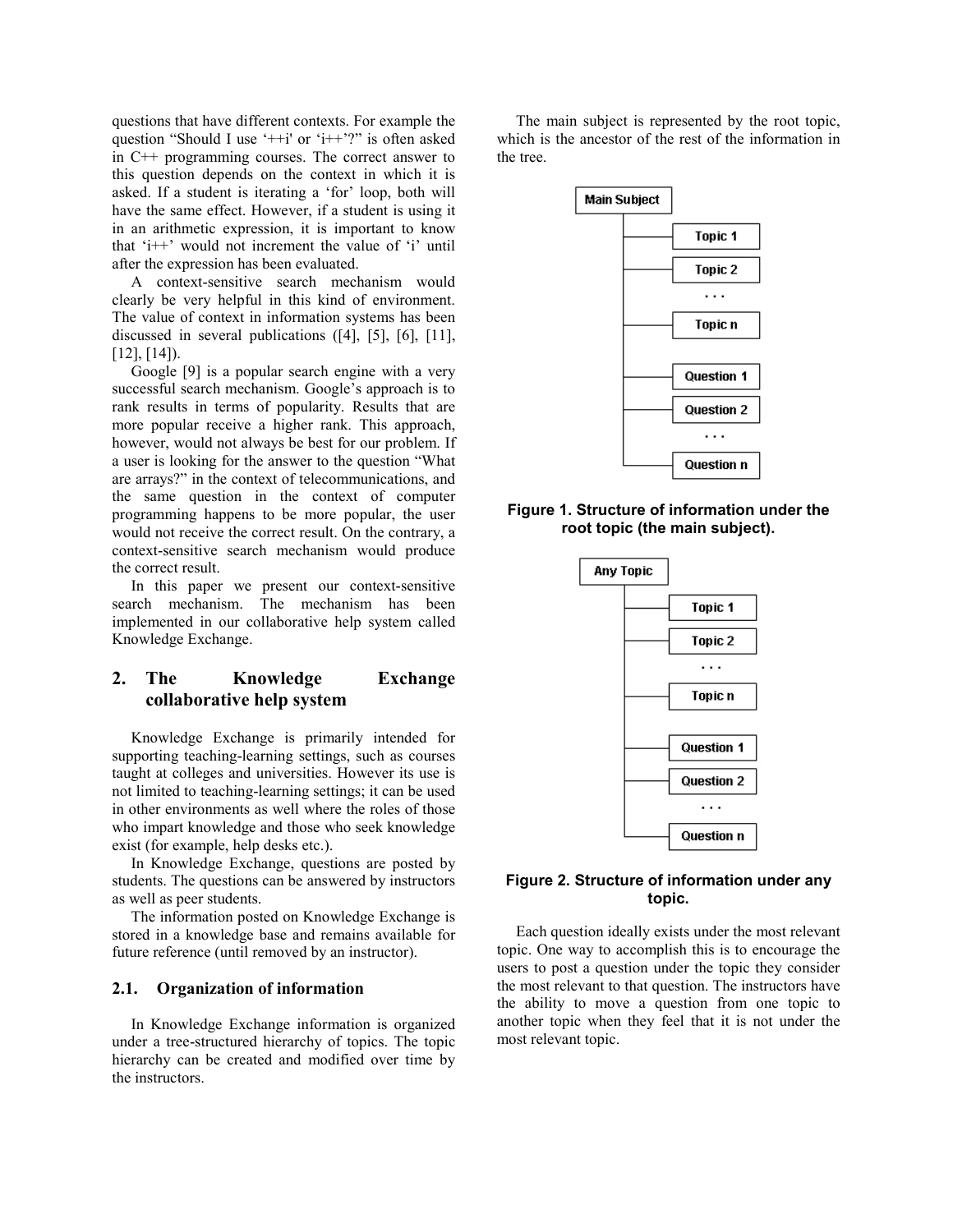questions that have different contexts. For example the question "Should I use ' $++i$ ' or ' $i++i$ '?" is often asked in C++ programming courses. The correct answer to this question depends on the context in which it is asked. If a student is iterating a 'for' loop, both will have the same effect. However, if a student is using it in an arithmetic expression, it is important to know that 'i++' would not increment the value of 'i' until after the expression has been evaluated.

A context-sensitive search mechanism would clearly be very helpful in this kind of environment. The value of context in information systems has been discussed in several publications ([4], [5], [6], [11], [12], [14]).

Google [9] is a popular search engine with a very successful search mechanism. Google's approach is to rank results in terms of popularity. Results that are more popular receive a higher rank. This approach, however, would not always be best for our problem. If a user is looking for the answer to the question "What are arrays?" in the context of telecommunications, and the same question in the context of computer programming happens to be more popular, the user would not receive the correct result. On the contrary, a context-sensitive search mechanism would produce the correct result.

In this paper we present our context-sensitive search mechanism. The mechanism has been implemented in our collaborative help system called Knowledge Exchange.

## **2. The Knowledge Exchange collaborative help system**

Knowledge Exchange is primarily intended for supporting teaching-learning settings, such as courses taught at colleges and universities. However its use is not limited to teaching-learning settings; it can be used in other environments as well where the roles of those who impart knowledge and those who seek knowledge exist (for example, help desks etc.).

In Knowledge Exchange, questions are posted by students. The questions can be answered by instructors as well as peer students.

The information posted on Knowledge Exchange is stored in a knowledge base and remains available for future reference (until removed by an instructor).

#### **2.1. Organization of information**

In Knowledge Exchange information is organized under a tree-structured hierarchy of topics. The topic hierarchy can be created and modified over time by the instructors.

The main subject is represented by the root topic, which is the ancestor of the rest of the information in the tree.



**Figure 1. Structure of information under the root topic (the main subject).** 



## **Figure 2. Structure of information under any topic.**

Each question ideally exists under the most relevant topic. One way to accomplish this is to encourage the users to post a question under the topic they consider the most relevant to that question. The instructors have the ability to move a question from one topic to another topic when they feel that it is not under the most relevant topic.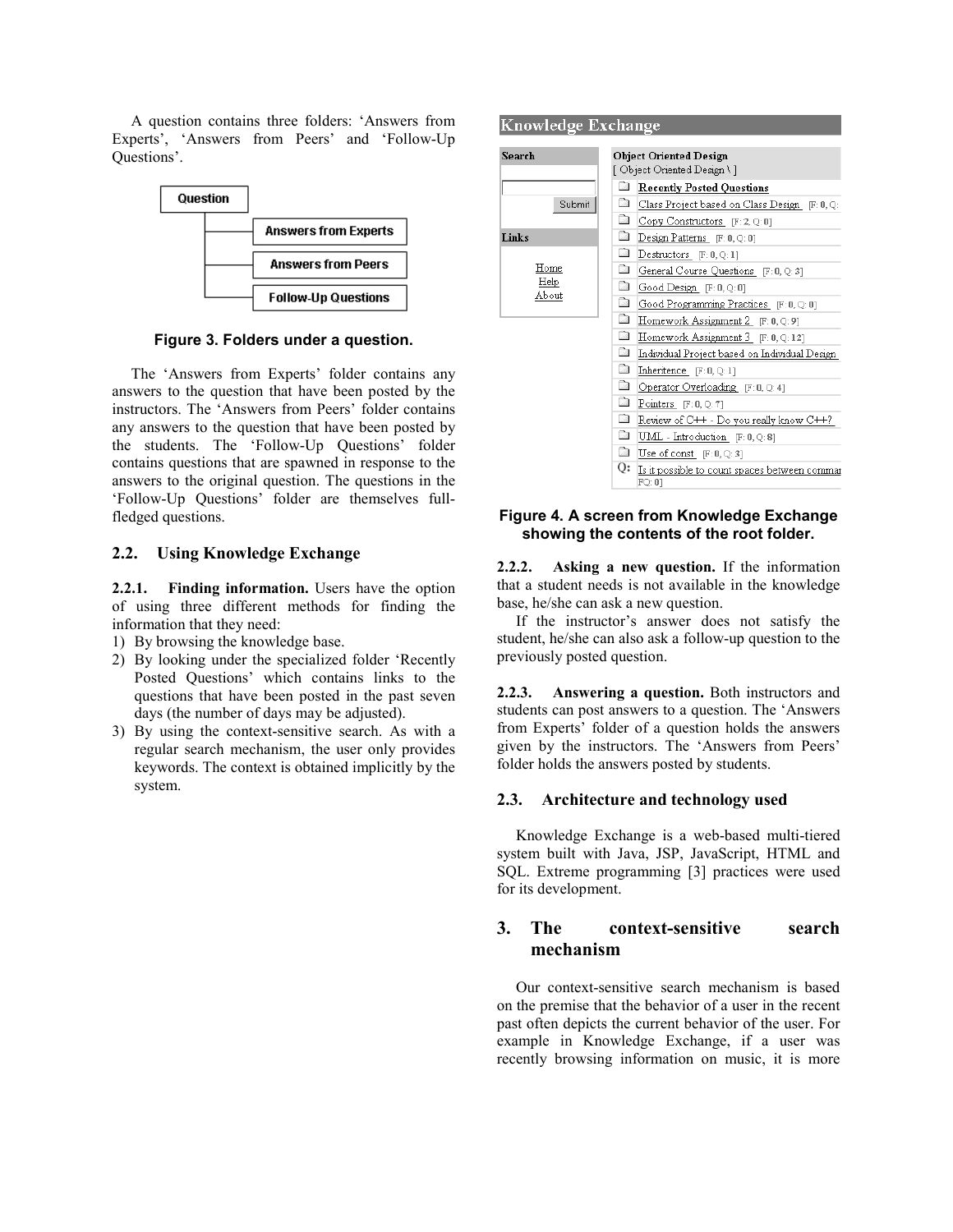A question contains three folders: 'Answers from Experts', 'Answers from Peers' and 'Follow-Up Questions'.



**Figure 3. Folders under a question.** 

The 'Answers from Experts' folder contains any answers to the question that have been posted by the instructors. The 'Answers from Peers' folder contains any answers to the question that have been posted by the students. The 'Follow-Up Questions' folder contains questions that are spawned in response to the answers to the original question. The questions in the 'Follow-Up Questions' folder are themselves fullfledged questions.

## **2.2. Using Knowledge Exchange**

**2.2.1. Finding information.** Users have the option of using three different methods for finding the information that they need:

- 1) By browsing the knowledge base.
- 2) By looking under the specialized folder 'Recently Posted Questions' which contains links to the questions that have been posted in the past seven days (the number of days may be adjusted).
- 3) By using the context-sensitive search. As with a regular search mechanism, the user only provides keywords. The context is obtained implicitly by the system.

#### Knowledge Exchange

| Search        |                  | <b>Object Oriented Design</b>                          |
|---------------|------------------|--------------------------------------------------------|
|               |                  | [ Object Oriented Design \ ]                           |
|               | $\Box$           | <b>Recently Posted Questions</b>                       |
| Submit        | œ                | Class Project based on Class Design F: 0, Q:           |
|               | $\sum_{i=1}^{n}$ | Copy Constructors [F: 2, Q: 0]                         |
| Links         | $\sum$           | $Design Patterns$ $[F: 0, Q: 0]$                       |
|               | $\Box$           | Destructors $[F:0, Q:1]$                               |
| Home          | œ                | General Course Questions F: 0, Q: 3]                   |
| Help          | œ                | $Good$ Design $[F:0, Q:0]$                             |
| <u> About</u> | $\sum$           | Good Programming Practices $[F:0, Q:0]$                |
|               | œ                | Homework Assignment 2 [F: 0, Q: 9]                     |
|               | Ò                | Homework Assignment $3$ [F: 0, Q: 12]                  |
|               | ò                | Individual Project based on Individual Design          |
|               | $\sim$           | Inheritence $[F:0, Q:1]$                               |
|               | $\sum_{i=1}^{n}$ | Operator Overloading [F: 0, Q: 4]                      |
|               | $\sum_{i=1}^{n}$ | Pointers $[F:0, Q:7]$                                  |
|               | Ò                | Review of C++ - Do you really know C++?                |
|               | $\Box$           | UML - Introduction [F: 0, Q: 8]                        |
|               | <b>Contract</b>  | Use of const $[F:0, Q:3]$                              |
|               | Q:               | Is it possible to count spaces between commar<br>FO:01 |

#### **Figure 4. A screen from Knowledge Exchange showing the contents of the root folder.**

**2.2.2. Asking a new question.** If the information that a student needs is not available in the knowledge base, he/she can ask a new question.

If the instructor's answer does not satisfy the student, he/she can also ask a follow-up question to the previously posted question.

**2.2.3. Answering a question.** Both instructors and students can post answers to a question. The 'Answers from Experts' folder of a question holds the answers given by the instructors. The 'Answers from Peers' folder holds the answers posted by students.

## **2.3. Architecture and technology used**

Knowledge Exchange is a web-based multi-tiered system built with Java, JSP, JavaScript, HTML and SQL. Extreme programming [3] practices were used for its development.

# **3. The context-sensitive search mechanism**

Our context-sensitive search mechanism is based on the premise that the behavior of a user in the recent past often depicts the current behavior of the user. For example in Knowledge Exchange, if a user was recently browsing information on music, it is more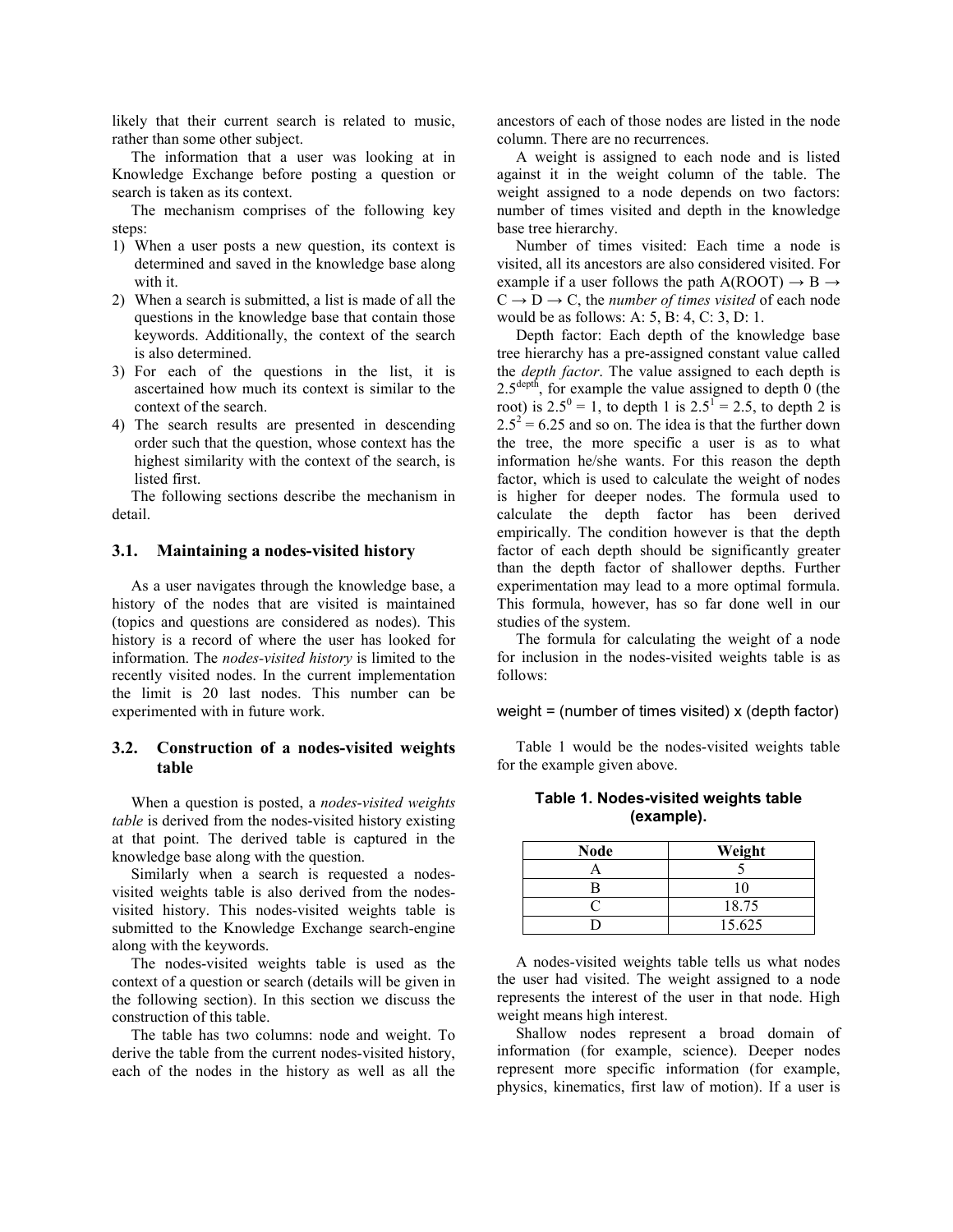likely that their current search is related to music, rather than some other subject.

The information that a user was looking at in Knowledge Exchange before posting a question or search is taken as its context.

The mechanism comprises of the following key steps:

- 1) When a user posts a new question, its context is determined and saved in the knowledge base along with it.
- 2) When a search is submitted, a list is made of all the questions in the knowledge base that contain those keywords. Additionally, the context of the search is also determined.
- 3) For each of the questions in the list, it is ascertained how much its context is similar to the context of the search.
- 4) The search results are presented in descending order such that the question, whose context has the highest similarity with the context of the search, is listed first.

The following sections describe the mechanism in detail.

#### **3.1. Maintaining a nodes-visited history**

As a user navigates through the knowledge base, a history of the nodes that are visited is maintained (topics and questions are considered as nodes). This history is a record of where the user has looked for information. The *nodes-visited history* is limited to the recently visited nodes. In the current implementation the limit is 20 last nodes. This number can be experimented with in future work.

### **3.2. Construction of a nodes-visited weights table**

When a question is posted, a *nodes-visited weights table* is derived from the nodes-visited history existing at that point. The derived table is captured in the knowledge base along with the question.

Similarly when a search is requested a nodesvisited weights table is also derived from the nodesvisited history. This nodes-visited weights table is submitted to the Knowledge Exchange search-engine along with the keywords.

The nodes-visited weights table is used as the context of a question or search (details will be given in the following section). In this section we discuss the construction of this table.

The table has two columns: node and weight. To derive the table from the current nodes-visited history, each of the nodes in the history as well as all the

ancestors of each of those nodes are listed in the node column. There are no recurrences.

A weight is assigned to each node and is listed against it in the weight column of the table. The weight assigned to a node depends on two factors: number of times visited and depth in the knowledge base tree hierarchy.

Number of times visited: Each time a node is visited, all its ancestors are also considered visited. For example if a user follows the path A(ROOT)  $\rightarrow$  B  $\rightarrow$  $C \rightarrow D \rightarrow C$ , the *number of times visited* of each node would be as follows: A: 5, B: 4, C: 3, D: 1.

Depth factor: Each depth of the knowledge base tree hierarchy has a pre-assigned constant value called the *depth factor*. The value assigned to each depth is  $2.5^{\text{depth}}$ , for example the value assigned to depth 0 (the root) is  $2.5^{\circ} = 1$ , to depth 1 is  $2.5^{\circ} = 2.5$ , to depth 2 is  $2.5^2$  = 6.25 and so on. The idea is that the further down the tree, the more specific a user is as to what information he/she wants. For this reason the depth factor, which is used to calculate the weight of nodes is higher for deeper nodes. The formula used to calculate the depth factor has been derived empirically. The condition however is that the depth factor of each depth should be significantly greater than the depth factor of shallower depths. Further experimentation may lead to a more optimal formula. This formula, however, has so far done well in our studies of the system.

The formula for calculating the weight of a node for inclusion in the nodes-visited weights table is as follows:

#### weight = (number of times visited) x (depth factor)

Table 1 would be the nodes-visited weights table for the example given above.

| <b>Node</b> | Weight |
|-------------|--------|
|             |        |
|             | 10     |
|             | 18.75  |
|             | 15.625 |

**Table 1. Nodes-visited weights table (example).** 

A nodes-visited weights table tells us what nodes the user had visited. The weight assigned to a node represents the interest of the user in that node. High weight means high interest.

Shallow nodes represent a broad domain of information (for example, science). Deeper nodes represent more specific information (for example, physics, kinematics, first law of motion). If a user is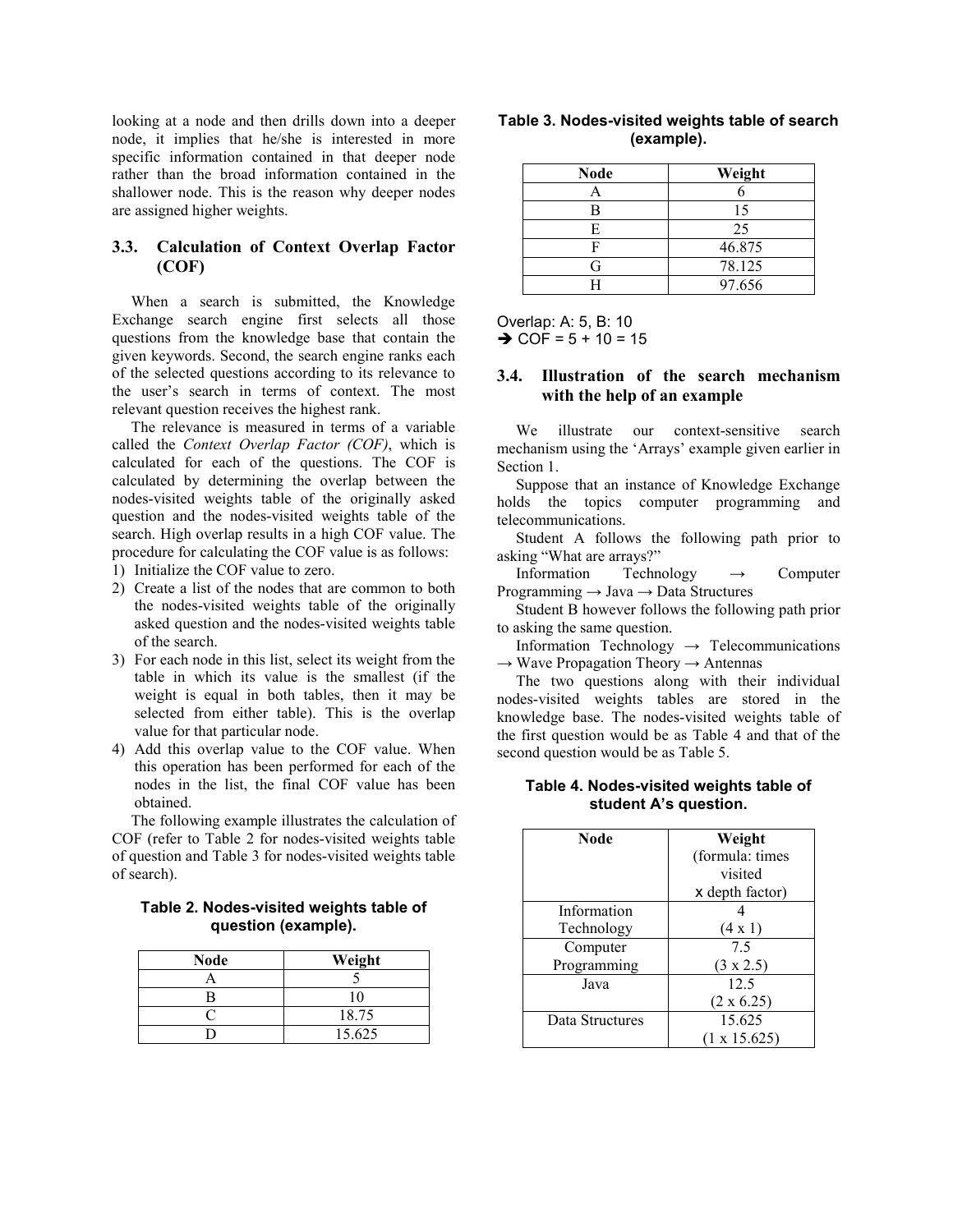looking at a node and then drills down into a deeper node, it implies that he/she is interested in more specific information contained in that deeper node rather than the broad information contained in the shallower node. This is the reason why deeper nodes are assigned higher weights.

## **3.3. Calculation of Context Overlap Factor (COF)**

When a search is submitted, the Knowledge Exchange search engine first selects all those questions from the knowledge base that contain the given keywords. Second, the search engine ranks each of the selected questions according to its relevance to the user's search in terms of context. The most relevant question receives the highest rank.

The relevance is measured in terms of a variable called the *Context Overlap Factor (COF)*, which is calculated for each of the questions. The COF is calculated by determining the overlap between the nodes-visited weights table of the originally asked question and the nodes-visited weights table of the search. High overlap results in a high COF value. The procedure for calculating the COF value is as follows:

- 1) Initialize the COF value to zero.
- 2) Create a list of the nodes that are common to both the nodes-visited weights table of the originally asked question and the nodes-visited weights table of the search.
- 3) For each node in this list, select its weight from the table in which its value is the smallest (if the weight is equal in both tables, then it may be selected from either table). This is the overlap value for that particular node.
- 4) Add this overlap value to the COF value. When this operation has been performed for each of the nodes in the list, the final COF value has been obtained.

The following example illustrates the calculation of COF (refer to Table 2 for nodes-visited weights table of question and Table 3 for nodes-visited weights table of search).

**Table 2. Nodes-visited weights table of question (example).** 

| Node | Weight |
|------|--------|
|      |        |
| R    | 10     |
|      | 18.75  |
|      | 15.625 |

|  |            | Table 3. Nodes-visited weights table of search |
|--|------------|------------------------------------------------|
|  | (example). |                                                |

| <b>Node</b> | Weight |
|-------------|--------|
|             |        |
|             | 15     |
| E           | 25     |
|             | 46.875 |
| G           | 78.125 |
|             | 97.656 |

Overlap: A: 5, B: 10  $\rightarrow$  COF = 5 + 10 = 15

## **3.4. Illustration of the search mechanism with the help of an example**

We illustrate our context-sensitive search mechanism using the 'Arrays' example given earlier in Section 1.

Suppose that an instance of Knowledge Exchange holds the topics computer programming and telecommunications.

Student A follows the following path prior to asking "What are arrays?"

Information Technology → Computer Programming  $\rightarrow$  Java  $\rightarrow$  Data Structures

Student B however follows the following path prior to asking the same question.

Information Technology  $\rightarrow$  Telecommunications  $\rightarrow$  Wave Propagation Theory  $\rightarrow$  Antennas

The two questions along with their individual nodes-visited weights tables are stored in the knowledge base. The nodes-visited weights table of the first question would be as Table 4 and that of the second question would be as Table 5.

#### **Table 4. Nodes-visited weights table of student A's question.**

| Node            | Weight              |
|-----------------|---------------------|
|                 | (formula: times     |
|                 | visited             |
|                 | x depth factor)     |
| Information     |                     |
| Technology      | $(4 \times 1)$      |
| Computer        | 75                  |
| Programming     | $(3 \times 2.5)$    |
| Java            | 12.5                |
|                 | $(2 \times 6.25)$   |
| Data Structures | 15.625              |
|                 | $(1 \times 15.625)$ |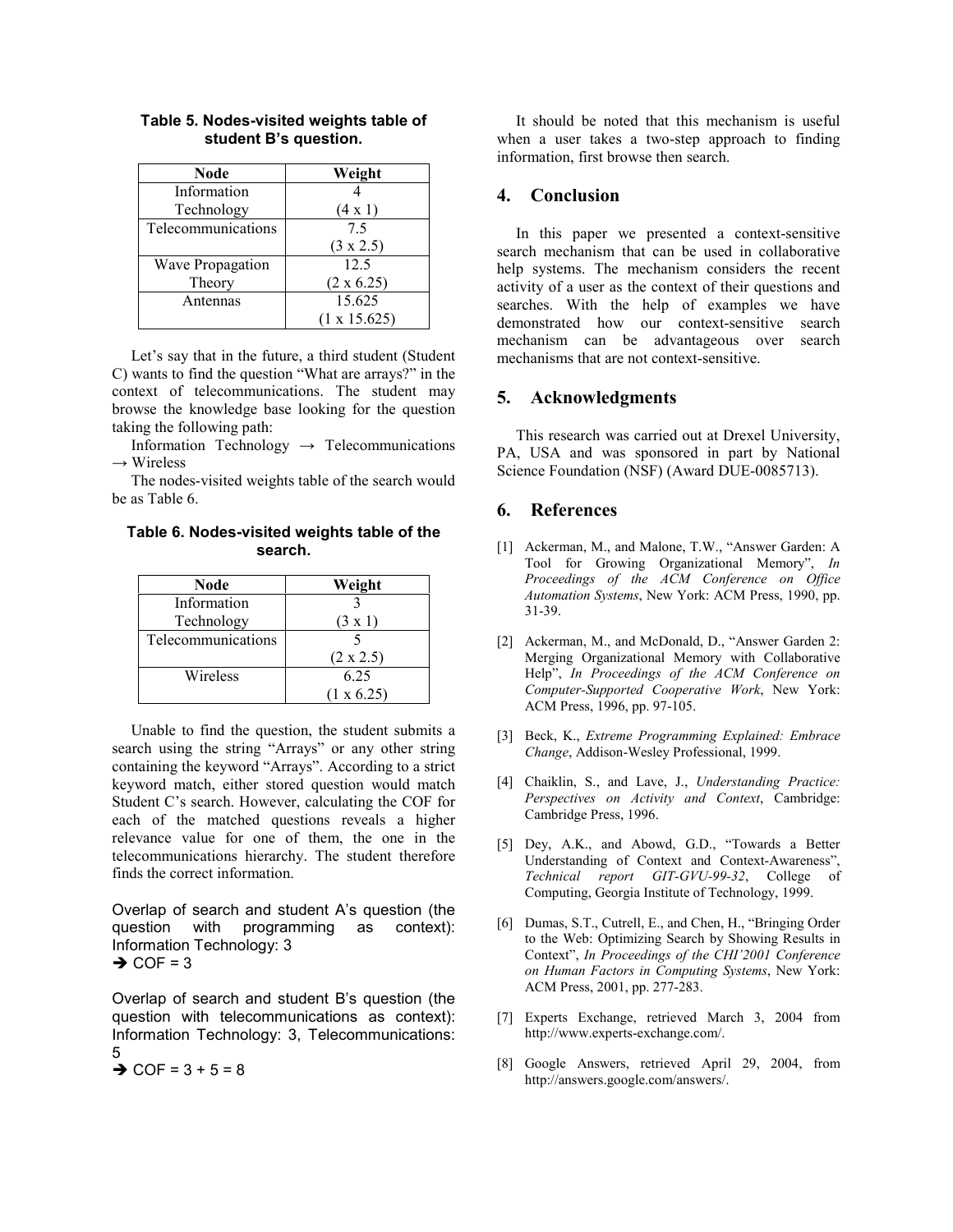| Node               | Weight              |
|--------------------|---------------------|
| Information        |                     |
| Technology         | $(4 \times 1)$      |
| Telecommunications | 75                  |
|                    | $(3 \times 2.5)$    |
| Wave Propagation   | 12.5                |
| Theory             | $(2 \times 6.25)$   |
| Antennas           | 15.625              |
|                    | $(1 \times 15.625)$ |

#### **Table 5. Nodes-visited weights table of student B's question.**

Let's say that in the future, a third student (Student C) wants to find the question "What are arrays?" in the context of telecommunications. The student may browse the knowledge base looking for the question taking the following path:

Information Technology  $\rightarrow$  Telecommunications  $\rightarrow$  Wireless

The nodes-visited weights table of the search would be as Table 6.

**Table 6. Nodes-visited weights table of the search.** 

| Node               | Weight            |
|--------------------|-------------------|
| Information        |                   |
| Technology         | $(3 \times 1)$    |
| Telecommunications |                   |
|                    | $(2 \times 2.5)$  |
| Wireless           | 6.25              |
|                    | $(1 \times 6.25)$ |

Unable to find the question, the student submits a search using the string "Arrays" or any other string containing the keyword "Arrays". According to a strict keyword match, either stored question would match Student C's search. However, calculating the COF for each of the matched questions reveals a higher relevance value for one of them, the one in the telecommunications hierarchy. The student therefore finds the correct information.

Overlap of search and student A's question (the question with programming as context): Information Technology: 3  $\rightarrow$  COF = 3

Overlap of search and student B's question (the question with telecommunications as context): Information Technology: 3, Telecommunications: 5

 $\rightarrow$  COF = 3 + 5 = 8

It should be noted that this mechanism is useful when a user takes a two-step approach to finding information, first browse then search.

## **4. Conclusion**

In this paper we presented a context-sensitive search mechanism that can be used in collaborative help systems. The mechanism considers the recent activity of a user as the context of their questions and searches. With the help of examples we have demonstrated how our context-sensitive search mechanism can be advantageous over search mechanisms that are not context-sensitive.

## **5. Acknowledgments**

This research was carried out at Drexel University, PA, USA and was sponsored in part by National Science Foundation (NSF) (Award DUE-0085713).

## **6. References**

- [1] Ackerman, M., and Malone, T.W., "Answer Garden: A Tool for Growing Organizational Memory", *In Proceedings of the ACM Conference on Office Automation Systems*, New York: ACM Press, 1990, pp. 31-39.
- [2] Ackerman, M., and McDonald, D., "Answer Garden 2: Merging Organizational Memory with Collaborative Help", *In Proceedings of the ACM Conference on Computer-Supported Cooperative Work*, New York: ACM Press, 1996, pp. 97-105.
- [3] Beck, K., *Extreme Programming Explained: Embrace Change*, Addison-Wesley Professional, 1999.
- [4] Chaiklin, S., and Lave, J., *Understanding Practice: Perspectives on Activity and Context*, Cambridge: Cambridge Press, 1996.
- [5] Dey, A.K., and Abowd, G.D., "Towards a Better Understanding of Context and Context-Awareness", *Technical report GIT-GVU-99-32*, College of Computing, Georgia Institute of Technology, 1999.
- [6] Dumas, S.T., Cutrell, E., and Chen, H., "Bringing Order to the Web: Optimizing Search by Showing Results in Context", *In Proceedings of the CHI'2001 Conference on Human Factors in Computing Systems*, New York: ACM Press, 2001, pp. 277-283.
- [7] Experts Exchange, retrieved March 3, 2004 from http://www.experts-exchange.com/.
- [8] Google Answers, retrieved April 29, 2004, from http://answers.google.com/answers/.